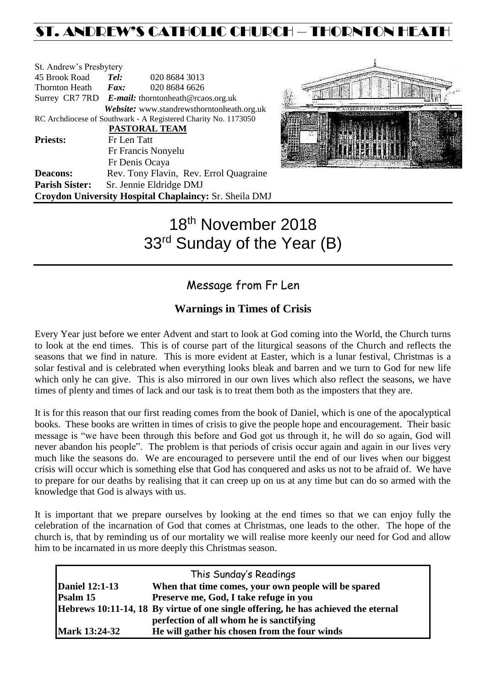## ST. ANDREW'S CATHOLIC CHURCH – THORNTON HEATH

| St. Andrew's Presbytery |                                                   |                                                                |  |  |  |
|-------------------------|---------------------------------------------------|----------------------------------------------------------------|--|--|--|
| 45 Brook Road           | Tel:                                              | 020 8684 3013                                                  |  |  |  |
| Thornton Heath          | $\boldsymbol{F}$ <i>ax</i> :                      | 020 8684 6626                                                  |  |  |  |
|                         | Surrey CR7 7RD E-mail: thorntonheath@rcaos.org.uk |                                                                |  |  |  |
|                         |                                                   | Website: www.standrewsthorntonheath.org.uk                     |  |  |  |
|                         |                                                   | RC Archdiocese of Southwark - A Registered Charity No. 1173050 |  |  |  |
|                         |                                                   | <b>PASTORAL TEAM</b>                                           |  |  |  |
| <b>Priests:</b>         | Fr Len Tatt                                       |                                                                |  |  |  |
|                         | Fr Francis Nonyelu                                |                                                                |  |  |  |
|                         |                                                   | Fr Denis Ocaya                                                 |  |  |  |
| <b>Deacons:</b>         |                                                   | Rev. Tony Flavin, Rev. Errol Quagraine                         |  |  |  |
| <b>Parish Sister:</b>   |                                                   | Sr. Jennie Eldridge DMJ                                        |  |  |  |
|                         |                                                   | Croydon University Hospital Chaplaincy: Sr. Sheila DMJ         |  |  |  |



# 18th November 2018 33<sup>rd</sup> Sunday of the Year (B)

### Message from Fr Len

### **Warnings in Times of Crisis**

Every Year just before we enter Advent and start to look at God coming into the World, the Church turns to look at the end times. This is of course part of the liturgical seasons of the Church and reflects the seasons that we find in nature. This is more evident at Easter, which is a lunar festival, Christmas is a solar festival and is celebrated when everything looks bleak and barren and we turn to God for new life which only he can give. This is also mirrored in our own lives which also reflect the seasons, we have times of plenty and times of lack and our task is to treat them both as the imposters that they are.

It is for this reason that our first reading comes from the book of Daniel, which is one of the apocalyptical books. These books are written in times of crisis to give the people hope and encouragement. Their basic message is "we have been through this before and God got us through it, he will do so again, God will never abandon his people". The problem is that periods of crisis occur again and again in our lives very much like the seasons do. We are encouraged to persevere until the end of our lives when our biggest crisis will occur which is something else that God has conquered and asks us not to be afraid of. We have to prepare for our deaths by realising that it can creep up on us at any time but can do so armed with the knowledge that God is always with us.

It is important that we prepare ourselves by looking at the end times so that we can enjoy fully the celebration of the incarnation of God that comes at Christmas, one leads to the other. The hope of the church is, that by reminding us of our mortality we will realise more keenly our need for God and allow him to be incarnated in us more deeply this Christmas season.

| This Sunday's Readings |                                                                                    |  |  |  |
|------------------------|------------------------------------------------------------------------------------|--|--|--|
| <b>Daniel 12:1-13</b>  | When that time comes, your own people will be spared                               |  |  |  |
| Psalm 15               | Preserve me, God, I take refuge in you                                             |  |  |  |
|                        | Hebrews 10:11-14, 18 By virtue of one single offering, he has achieved the eternal |  |  |  |
|                        | perfection of all whom he is sanctifying                                           |  |  |  |
| <b>Mark 13:24-32</b>   | He will gather his chosen from the four winds                                      |  |  |  |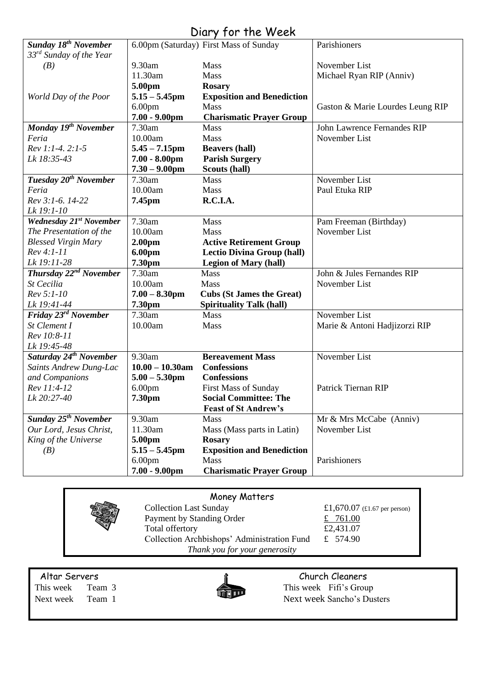|                                        |                    | $U(1)$ y $101$ $110$ $100$             |                                  |
|----------------------------------------|--------------------|----------------------------------------|----------------------------------|
| <b>Sunday 18th November</b>            |                    | 6.00pm (Saturday) First Mass of Sunday | Parishioners                     |
| 33 <sup>rd</sup> Sunday of the Year    |                    |                                        |                                  |
| (B)                                    | 9.30am             | Mass                                   | November List                    |
|                                        | 11.30am            | <b>Mass</b>                            | Michael Ryan RIP (Anniv)         |
|                                        | 5.00pm             | <b>Rosary</b>                          |                                  |
| World Day of the Poor                  | $5.15 - 5.45$ pm   | <b>Exposition and Benediction</b>      |                                  |
|                                        | 6.00 <sub>pm</sub> | <b>Mass</b>                            | Gaston & Marie Lourdes Leung RIP |
|                                        | $7.00 - 9.00$ pm   | <b>Charismatic Prayer Group</b>        |                                  |
| Monday 19 <sup>th</sup> November       | 7.30am             | Mass                                   | John Lawrence Fernandes RIP      |
| Feria                                  | 10.00am            | Mass                                   | November List                    |
| Rev 1:1-4. 2:1-5                       | $5.45 - 7.15$ pm   | <b>Beavers (hall)</b>                  |                                  |
| Lk 18:35-43                            | $7.00 - 8.00$ pm   | <b>Parish Surgery</b>                  |                                  |
|                                        | $7.30 - 9.00$ pm   | Scouts (hall)                          |                                  |
| Tuesday 20 <sup>th</sup> November      | 7.30am             | Mass                                   | November List                    |
| Feria                                  | 10.00am            | Mass                                   | Paul Etuka RIP                   |
| Rev 3:1-6. 14-22                       | 7.45pm             | R.C.I.A.                               |                                  |
| Lk 19:1-10                             |                    |                                        |                                  |
| <b>Wednesday 21st November</b>         | 7.30am             | Mass                                   | Pam Freeman (Birthday)           |
| The Presentation of the                | 10.00am            | <b>Mass</b>                            | November List                    |
| <b>Blessed Virgin Mary</b>             | 2.00 <sub>pm</sub> | <b>Active Retirement Group</b>         |                                  |
| $Rev 4:1-11$                           | 6.00pm             | <b>Lectio Divina Group (hall)</b>      |                                  |
| Lk 19:11-28                            | 7.30pm             | <b>Legion of Mary (hall)</b>           |                                  |
| Thursday 22 <sup>nd</sup> November     | 7.30am             | Mass                                   | John & Jules Fernandes RIP       |
| St Cecilia                             | 10.00am            | Mass                                   | November List                    |
| Rev 5:1-10                             | $7.00 - 8.30$ pm   | <b>Cubs (St James the Great)</b>       |                                  |
| Lk 19:41-44                            | 7.30pm             | <b>Spirituality Talk (hall)</b>        |                                  |
| Friday 23rd November                   | 7.30am             | Mass                                   | November List                    |
| St Clement I                           | 10.00am            | Mass                                   | Marie & Antoni Hadjizorzi RIP    |
| Rev 10:8-11                            |                    |                                        |                                  |
| Lk 19:45-48                            |                    |                                        |                                  |
| Saturday 24 <sup>th</sup> November     | 9.30am             | <b>Bereavement Mass</b>                | November List                    |
| Saints Andrew Dung-Lac                 | $10.00 - 10.30$ am | <b>Confessions</b>                     |                                  |
| and Companions                         | $5.00 - 5.30$ pm   | <b>Confessions</b>                     |                                  |
| Rev 11:4-12                            | 6.00 <sub>pm</sub> | <b>First Mass of Sunday</b>            | Patrick Tiernan RIP              |
| Lk 20:27-40                            | 7.30pm             | <b>Social Committee: The</b>           |                                  |
|                                        |                    | <b>Feast of St Andrew's</b>            |                                  |
| <b>Sunday 25<sup>th</sup> November</b> | 9.30am             | <b>Mass</b>                            | Mr & Mrs McCabe (Anniv)          |
| Our Lord, Jesus Christ,                | 11.30am            | Mass (Mass parts in Latin)             | November List                    |
| King of the Universe                   | 5.00pm             | <b>Rosary</b>                          |                                  |
| (B)                                    | $5.15 - 5.45$ pm   | <b>Exposition and Benediction</b>      |                                  |
|                                        | 6.00 <sub>pm</sub> | Mass                                   | Parishioners                     |
|                                        | $7.00 - 9.00$ pm   | <b>Charismatic Prayer Group</b>        |                                  |
|                                        |                    |                                        |                                  |

### Diary for the Week

### Money Matters

Collection Last Sunday £1,670.07 (£1.67 per person) Payment by Standing Order  $\frac{2}{10}$   $\frac{761.00}{20}$ Total offertory  $£2,431.07$ Collection Archbishops' Administration Fund £ 574.90 *Thank you for your generosity*



Altar Servers **Church Cleaners Church Cleaners** This week Team 3 This week Fifi's Group Next week Team 1 Next week Sancho's Dusters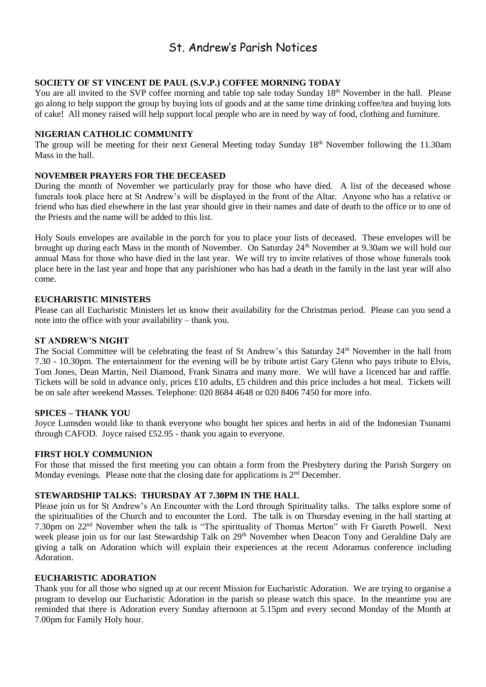### St. Andrew's Parish Notices

#### **SOCIETY OF ST VINCENT DE PAUL (S.V.P.) COFFEE MORNING TODAY**

You are all invited to the SVP coffee morning and table top sale today Sunday 18<sup>th</sup> November in the hall. Please go along to help support the group by buying lots of goods and at the same time drinking coffee/tea and buying lots of cake! All money raised will help support local people who are in need by way of food, clothing and furniture.

#### **NIGERIAN CATHOLIC COMMUNITY**

The group will be meeting for their next General Meeting today Sunday 18<sup>th</sup> November following the 11.30am Mass in the hall.

#### **NOVEMBER PRAYERS FOR THE DECEASED**

During the month of November we particularly pray for those who have died. A list of the deceased whose funerals took place here at St Andrew's will be displayed in the front of the Altar. Anyone who has a relative or friend who has died elsewhere in the last year should give in their names and date of death to the office or to one of the Priests and the name will be added to this list.

Holy Souls envelopes are available in the porch for you to place your lists of deceased. These envelopes will be brought up during each Mass in the month of November. On Saturday 24<sup>th</sup> November at 9.30am we will hold our annual Mass for those who have died in the last year. We will try to invite relatives of those whose funerals took place here in the last year and hope that any parishioner who has had a death in the family in the last year will also come.

#### **EUCHARISTIC MINISTERS**

Please can all Eucharistic Ministers let us know their availability for the Christmas period. Please can you send a note into the office with your availability – thank you.

#### **ST ANDREW'S NIGHT**

The Social Committee will be celebrating the feast of St Andrew's this Saturday 24<sup>th</sup> November in the hall from 7.30 - 10.30pm. The entertainment for the evening will be by tribute artist Gary Glenn who pays tribute to Elvis, Tom Jones, Dean Martin, Neil Diamond, Frank Sinatra and many more. We will have a licenced bar and raffle. Tickets will be sold in advance only, prices £10 adults, £5 children and this price includes a hot meal. Tickets will be on sale after weekend Masses. Telephone: 020 8684 4648 or 020 8406 7450 for more info.

#### **SPICES – THANK YOU**

Joyce Lumsden would like to thank everyone who bought her spices and herbs in aid of the Indonesian Tsunami through CAFOD. Joyce raised £52.95 - thank you again to everyone.

#### **FIRST HOLY COMMUNION**

For those that missed the first meeting you can obtain a form from the Presbytery during the Parish Surgery on Monday evenings. Please note that the closing date for applications is 2<sup>nd</sup> December.

#### **STEWARDSHIP TALKS: THURSDAY AT 7.30PM IN THE HALL**

Please join us for St Andrew's An Encounter with the Lord through Spirituality talks. The talks explore some of the spiritualities of the Church and to encounter the Lord. The talk is on Thursday evening in the hall starting at 7.30pm on 22nd November when the talk is "The spirituality of Thomas Merton" with Fr Gareth Powell. Next week please join us for our last Stewardship Talk on 29<sup>th</sup> November when Deacon Tony and Geraldine Daly are giving a talk on Adoration which will explain their experiences at the recent Adoramus conference including Adoration.

#### **EUCHARISTIC ADORATION**

Thank you for all those who signed up at our recent Mission for Eucharistic Adoration. We are trying to organise a program to develop our Eucharistic Adoration in the parish so please watch this space. In the meantime you are reminded that there is Adoration every Sunday afternoon at 5.15pm and every second Monday of the Month at 7.00pm for Family Holy hour.